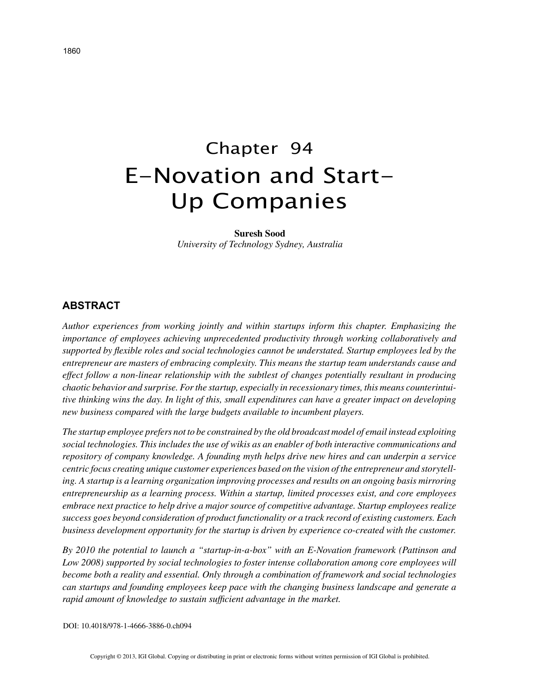# Chapter 94 E-Novation and Start-Up Companies

#### **Suresh Sood**

*University of Technology Sydney, Australia*

## **ABSTRACT**

*Author experiences from working jointly and within startups inform this chapter. Emphasizing the importance of employees achieving unprecedented productivity through working collaboratively and supported by flexible roles and social technologies cannot be understated. Startup employees led by the entrepreneur are masters of embracing complexity. This means the startup team understands cause and effect follow a non-linear relationship with the subtlest of changes potentially resultant in producing chaotic behavior and surprise. For the startup, especially in recessionary times, this means counterintuitive thinking wins the day. In light of this, small expenditures can have a greater impact on developing new business compared with the large budgets available to incumbent players.*

*The startup employee prefers not to be constrained by the old broadcast model of email instead exploiting social technologies. This includes the use of wikis as an enabler of both interactive communications and repository of company knowledge. A founding myth helps drive new hires and can underpin a service centric focus creating unique customer experiences based on the vision of the entrepreneur and storytelling. A startup is a learning organization improving processes and results on an ongoing basis mirroring entrepreneurship as a learning process. Within a startup, limited processes exist, and core employees embrace next practice to help drive a major source of competitive advantage. Startup employees realize success goes beyond consideration of product functionality or a track record of existing customers. Each business development opportunity for the startup is driven by experience co-created with the customer.*

*By 2010 the potential to launch a "startup-in-a-box" with an E-Novation framework (Pattinson and Low 2008) supported by social technologies to foster intense collaboration among core employees will become both a reality and essential. Only through a combination of framework and social technologies can startups and founding employees keep pace with the changing business landscape and generate a rapid amount of knowledge to sustain sufficient advantage in the market.*

DOI: 10.4018/978-1-4666-3886-0.ch094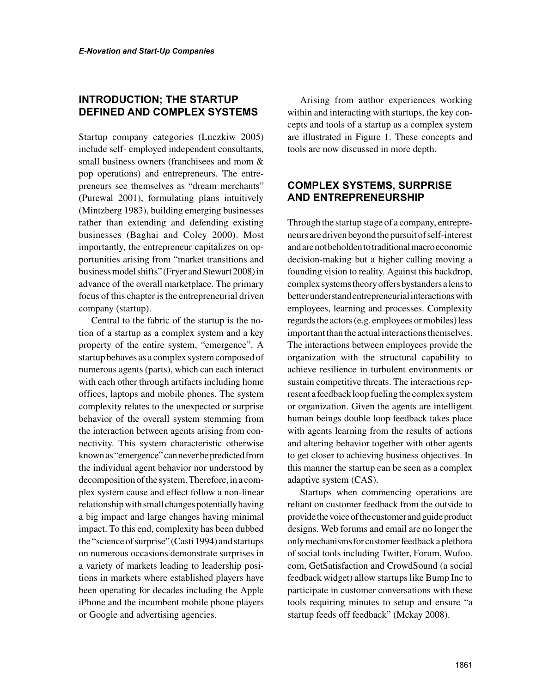# **INTRODUCTION; THE STARTUP DEFINED AND COMPLEX SYSTEMS**

Startup company categories (Luczkiw 2005) include self- employed independent consultants, small business owners (franchisees and mom & pop operations) and entrepreneurs. The entrepreneurs see themselves as "dream merchants" (Purewal 2001), formulating plans intuitively (Mintzberg 1983), building emerging businesses rather than extending and defending existing businesses (Baghai and Coley 2000). Most importantly, the entrepreneur capitalizes on opportunities arising from "market transitions and business model shifts" (Fryer and Stewart 2008) in advance of the overall marketplace. The primary focus of this chapter is the entrepreneurial driven company (startup).

Central to the fabric of the startup is the notion of a startup as a complex system and a key property of the entire system, "emergence". A startup behaves as a complex system composed of numerous agents (parts), which can each interact with each other through artifacts including home offices, laptops and mobile phones. The system complexity relates to the unexpected or surprise behavior of the overall system stemming from the interaction between agents arising from connectivity. This system characteristic otherwise known as "emergence" can never be predicted from the individual agent behavior nor understood by decomposition of the system. Therefore, in a complex system cause and effect follow a non-linear relationship with small changes potentially having a big impact and large changes having minimal impact. To this end, complexity has been dubbed the "science of surprise" (Casti 1994) and startups on numerous occasions demonstrate surprises in a variety of markets leading to leadership positions in markets where established players have been operating for decades including the Apple iPhone and the incumbent mobile phone players or Google and advertising agencies.

Arising from author experiences working within and interacting with startups, the key concepts and tools of a startup as a complex system are illustrated in Figure 1. These concepts and tools are now discussed in more depth.

# **COMPLEX SYSTEMS, SURPRISE AND ENTREPRENEURSHIP**

Through the startup stage of a company, entrepreneurs are driven beyond the pursuit of self-interest and are not beholden to traditional macro economic decision-making but a higher calling moving a founding vision to reality. Against this backdrop, complex systems theory offers bystanders a lens to better understand entrepreneurial interactions with employees, learning and processes. Complexity regards the actors (e.g. employees or mobiles) less important than the actual interactions themselves. The interactions between employees provide the organization with the structural capability to achieve resilience in turbulent environments or sustain competitive threats. The interactions represent a feedback loop fueling the complex system or organization. Given the agents are intelligent human beings double loop feedback takes place with agents learning from the results of actions and altering behavior together with other agents to get closer to achieving business objectives. In this manner the startup can be seen as a complex adaptive system (CAS).

Startups when commencing operations are reliant on customer feedback from the outside to provide the voice of the customer and guide product designs. Web forums and email are no longer the only mechanisms for customer feedback a plethora of social tools including Twitter, Forum, Wufoo. com, GetSatisfaction and CrowdSound (a social feedback widget) allow startups like Bump Inc to participate in customer conversations with these tools requiring minutes to setup and ensure "a startup feeds off feedback" (Mckay 2008).